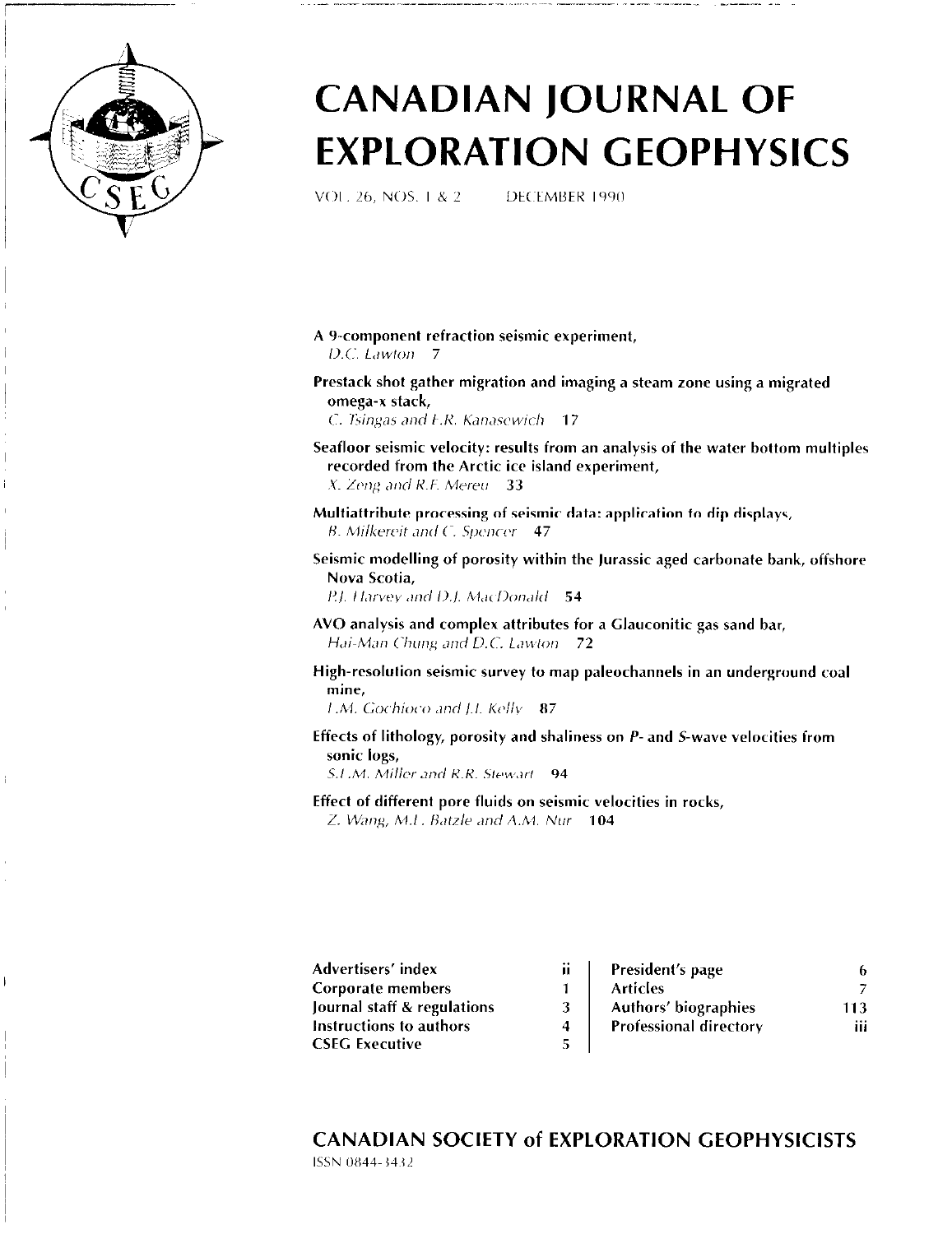

ŧ

# CANADIAN JOURNAL OF EXPLORATION GEOPHYSICS

VOI. 26, NOS. 1 & 2 LLDECEMBER 1990

- A Y-component refraction seismic experiment,  $D.C.$  Lawton  $-7$
- Prestack shot gather migration and imaging a steam zone using a migrated omega-x stack,
	- C. Tsingas and  $F.R.$  Kanasewich  $-17$
- Seafloor seismic velocity: results from an analysis of the water bottom multiples recorded from the Arctic ice island experiment,  $X.$  Zeng and R.F. Mereu 33
- Multiattribute processing of seismic data: application to dip displays,  $B.$  Milkereit and C. Spencer  $-47$
- Seismic modelling of porosity within the Jurassic aged carbonate bank, offshore Nova Scotia,
	- P.J. Harvey and D.J. MacDonald 54
- AVO analysis and complex attributes for a Glauconitic gas sand bar, Hai-Man Chung and D.C. Lawton 72
- High-resolution seismic survey to map paleochannels in an underground coal mine,

 $1.M.$  Gochioco and J.I. Kelly  $87$ 

Effects of lithology, porosity and shaliness on P-and S-wave velocities from sonic logs,

S.L.M. Miller and R.R. Stewart 94

Effect of different pore fluids on seismic velocities in rocks, Z. Wang, M.I. Batzle and A.M. Nur 104

| Advertisers' index-         | ij | President's page              |     |
|-----------------------------|----|-------------------------------|-----|
| Corporate members           |    | <b>Articles</b>               |     |
| Journal staff & regulations |    | <b>Authors' biographies</b>   | 113 |
| Instructions to authors     |    | <b>Professional directory</b> | ш   |
| CSEG Executive              |    |                               |     |

CANADIAN SOCIETY of EXPLORATION GEOPHYSICISTS ISSN 0844-3432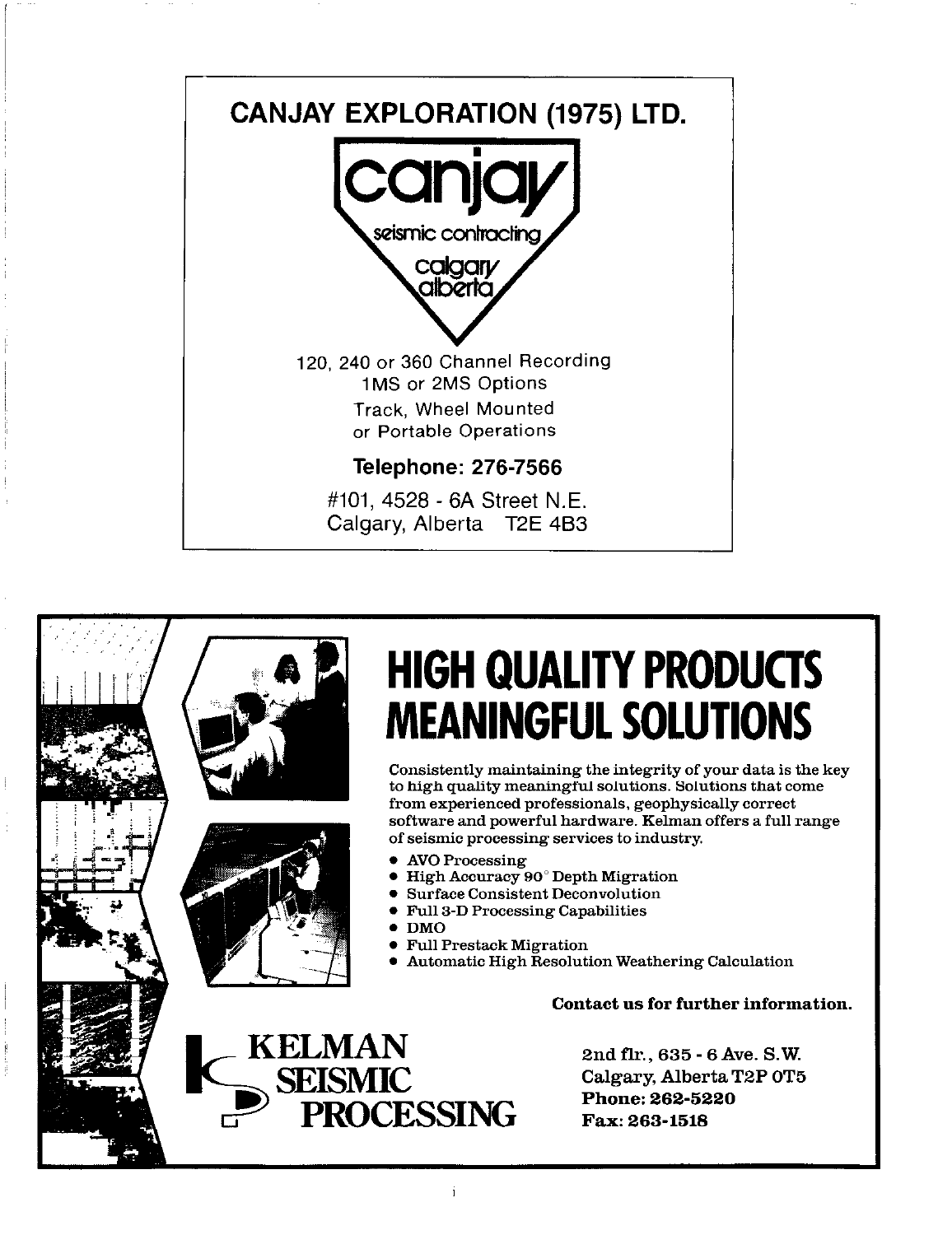



# HIGH QUALITY PRODUCTS MEANINGFUL SOLUTIONS

Consistently maintaining the integrity of your data is the key to high quality meaningful solutions. Solutions that come from experienced professionals, geophysically correct software and powerful hardware. Kelman offers a full range of seismic processing services to industry.

- AVO Processing
- High Accuracy 90° Depth Migration
- . Surface Consistent Deconvolution
- <sup>l</sup>Full 3-D Processing Capabilities
- . DMO
- Full Prestack Migration
- <sup>l</sup>Automatic High Resolution Weathering Calculation

Contact us for further information.

**CESSING** 

2nd fir., 635 - 6 Ave. S. W. Calgary, Alberta T2P OT5 Phone: 262-5220 Fax: 263-1518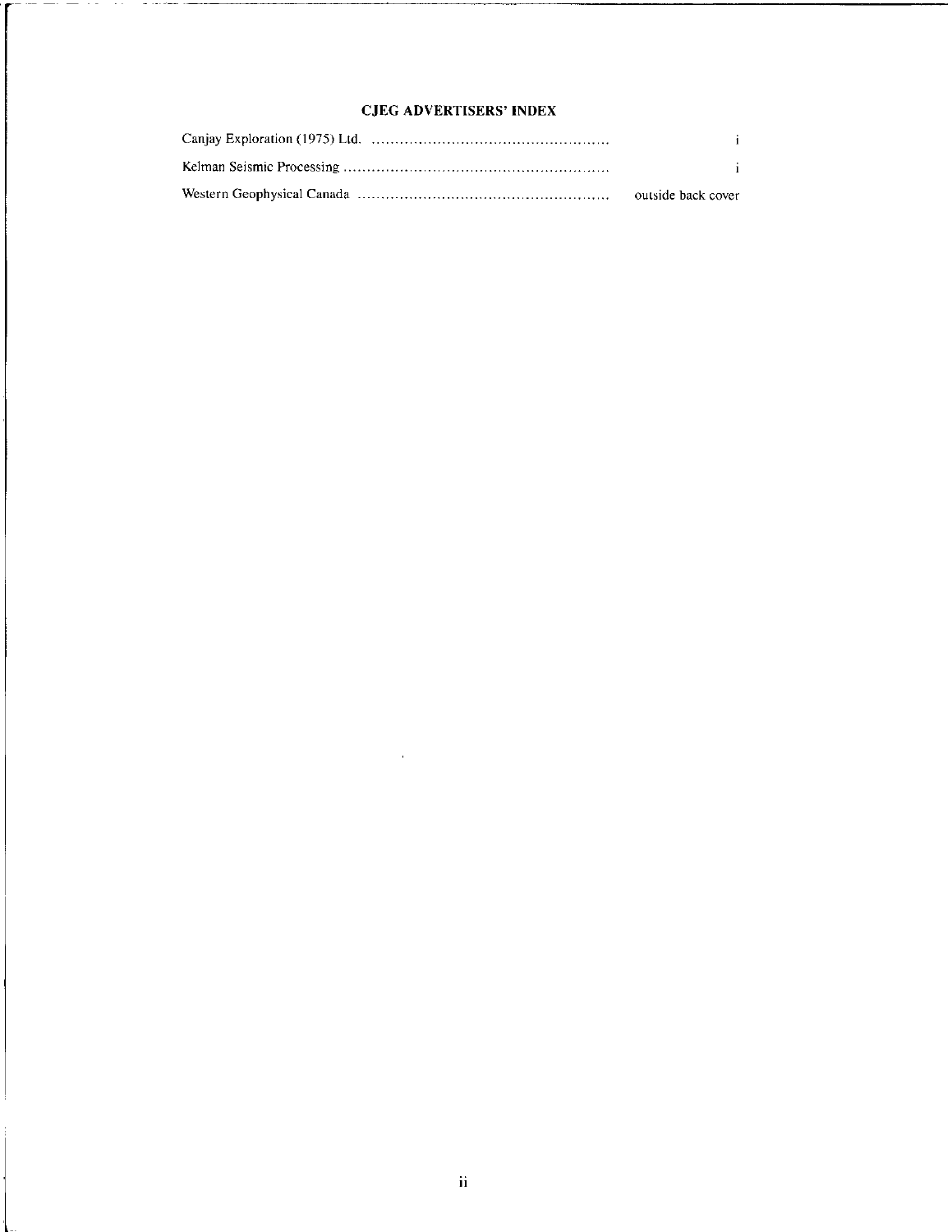#### CJEG ADVERTISERS' INDEX

<u> - and the state of the state of the state of the state of the state of the state of the state of the state of the state of the state of the state of the state of the state of the state of the state of the state of the st</u>

| i.                 |
|--------------------|
|                    |
| outside back cover |

 $\sim$   $\alpha$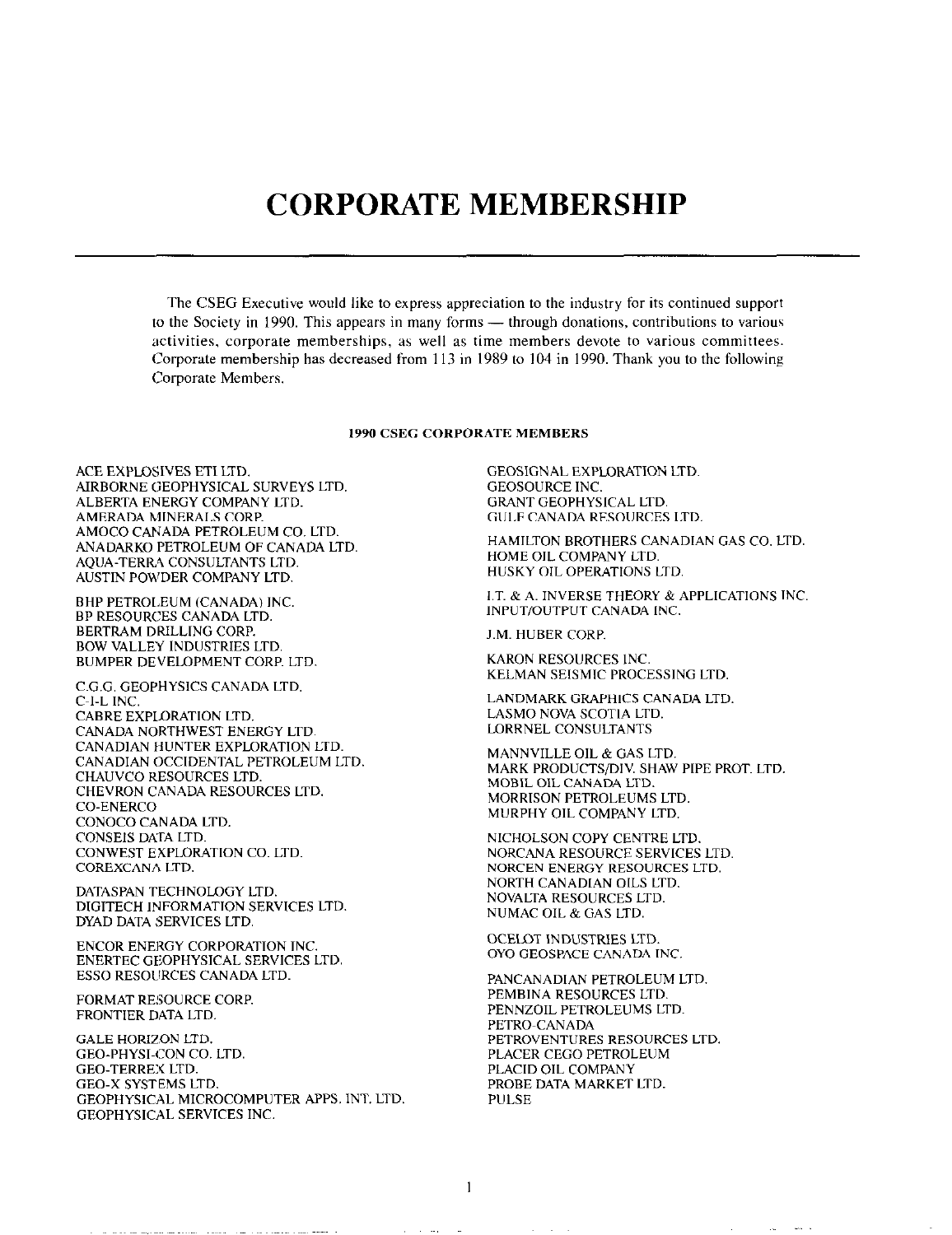## CORPORATE MEMBERSHIP

The CSEG Executive would like to express appreciation to the industry for its continued support to the Society in 1990. This appears in many forms — through donations, contributions to various activities, corporate memberships, as well as time members devote to various committees. Corporate membership has decreased from 1 13 in 1989 to 104 in 1990. Thank you to the following Corporate Members.

#### 1990 CSEG CORPORATE MEMBERS

ACE EXPLOSIVES ET1 LTD. AIRBORNE GEOPHYSICAL SURVEYS LTD. ALBERTA ENERGY COMPANY LTD. AMERADA MINERALS CORP. AMOCO CANADA PETROLEUM CO. LTD, ANADARKO PETROLEUM OF CANADA LTD. AQUA-TERR4 CONSULTANTS LTD. AUSTIN POWDER COMPANY LTD.

BHP PETROLEUM (CANADA) INC BP RESOURCES CANADA LTD. BERTRAM DRILLING CORP. BOW VALLEY INDUSTRIES LTD. BUMPER DEVELOPMENT CORP. LTD.

C.G.G. GEOPHYSICS CANADA LTD. C-1-L INC. CABRE EXPLORATION LTD. CANADA NORTHWEST ENERGY LTD. CANADIAN HUNTER EXPLORATION LTD. CANADIAN OCCIDENTAL PETROLEUM LTD. CHAUVCO RESOURCES LTD. CHEVRON CANADA RESOURCES LTD. CO-ENERCO CONOCO CANADA LTD. CONSEIS DArA LTD. CONWEST EXPLORATION CO. LTD. COREXCANA LTD.

DATASPAN TECHNOLOGY LTD. DIGITECH INFORMATION SERVICES LTD. DYAD DATA SERVICES LTD.

ENCOR ENERGY CORPORATION INC. ENERTEC GEOPHYSICAL SERVICES LTD. ESSO RESOLIRCES CANADA LTD.

FORMAT RESOURCE CORP. FRONTIER DATA LTD.

GALE HORIZON LTD. GEO-PHYSI-CON CO. LTD. GEO-TERREX LTD. GEO-X SYSTEMS LTD. GEOPHYSlCAL MICROCOMPUTER APPS. INT LTD. GEOPHYSICAL SERVICES INC.

an an exclusive company when a series and company and the series of

GEOSIGNAL EXPLORATION LTD GEOSOURCE INC. GRANT GEOPHYSICAL LTD. GULF CANADA RESOURCES LTD.

HAMILTON BROTHERS CANADIAN GAS CO. LTD. HOME OIL COMPANY LTD. HUSKY OIL OPERATIONS LTD.

1.7. & A. INVERSE THEORY & APPLlCATIONS INC lNPUT,OUTPUT CANADA INC.

J.M. HUBER CORP.

KARON RESOURCES INC. KELMAN SElSMlC PROCESSING LTD.

LANDMARK GRAPHICS CANADA LTD. LASMO NOVA SCOTIA LTD. LQRRNEL CONSULTANTS

MANNVILLE OIL & GAS LTD. MARK PRODUCTS/DIV. SHAW PIPE PROT. LTD. MOBIL OIL CANADA LTD. MORRISON PETROLEUMS LTD. MURPHY OIL COMPANY LTD.

NICHOLSON COPY CENTRE LTD. NORCANA RESOURCE SERVICES LTD. NORCEN ENERGY RESOURCES LTD. NORTH CANADLAN OILS LTD. NOVALTA RESOURCES LTD. NUMAC OIL & GAS LTD.

OCELOT INDUSTRIES LTD. OYO GEOSPACE CANADA INC

PANCANADIAN PETROLEUM LTD, PEMBINA RESOURCES LTD. PENNZOIL PETROLEUMS LTD. PETRO-CANADA PETROVENTURES RESOURCES LTD. PLACER CEGO PETROLEUM PLACID OIL COMPANY PROBE DATA MARKET LTD. PULSE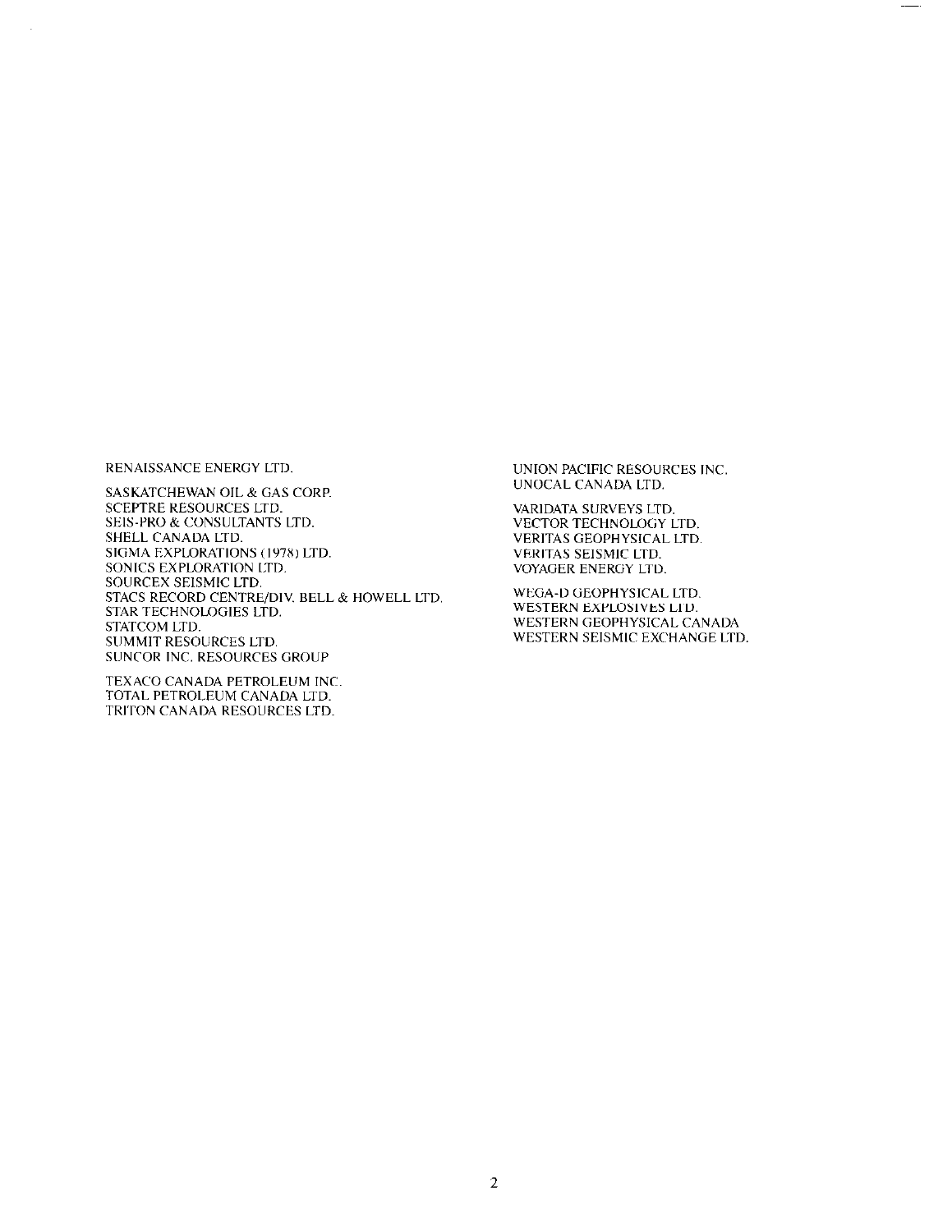RENAISSANCE ENERGY LTD.

SASKATCHEWAN OIL & GAS COKP. SCEPTRE RESOURCES LTD. SEIS-PRO & CONSULTANTS LTD. SHELL CANAUA LTD. SIGMA EXPLORATIONS (1978) LTD. SONICS EXPLORATION LTD. SOURCEX SEISMIC LTD. STACS RECORD CENTRE/DIV. BELL & HOWELL LTD. STAR TECHNOLOGIES LTD. STATCOM LTD. SUMMIT RESOURCES LTD. SUNCOR INC. RESOURCES GROUP

TEXACO CANADA PETROLEUM INC TOTAL PETROLEUM CANADA LTD. TRITON CANADA RESOURCES LTD.

UNION PACIFIC RESOURCES INC UNOCAL CANADA LTD.

VARIDATA SURVEYS LTD. VECTOR TECHNOLOGY LTD. VERITAS GEOPHYSICAL LTD. VFRITAS SEISMIC LTD. VOYAGER ENERGY LTD.

WEGA-D GEOPHYSICAL LTD. WESTERN EXPLOSIVES LTD. WESTERN GEOPHYSICAL CANADA WESTERN SEISMIC EXCHANGE LTD.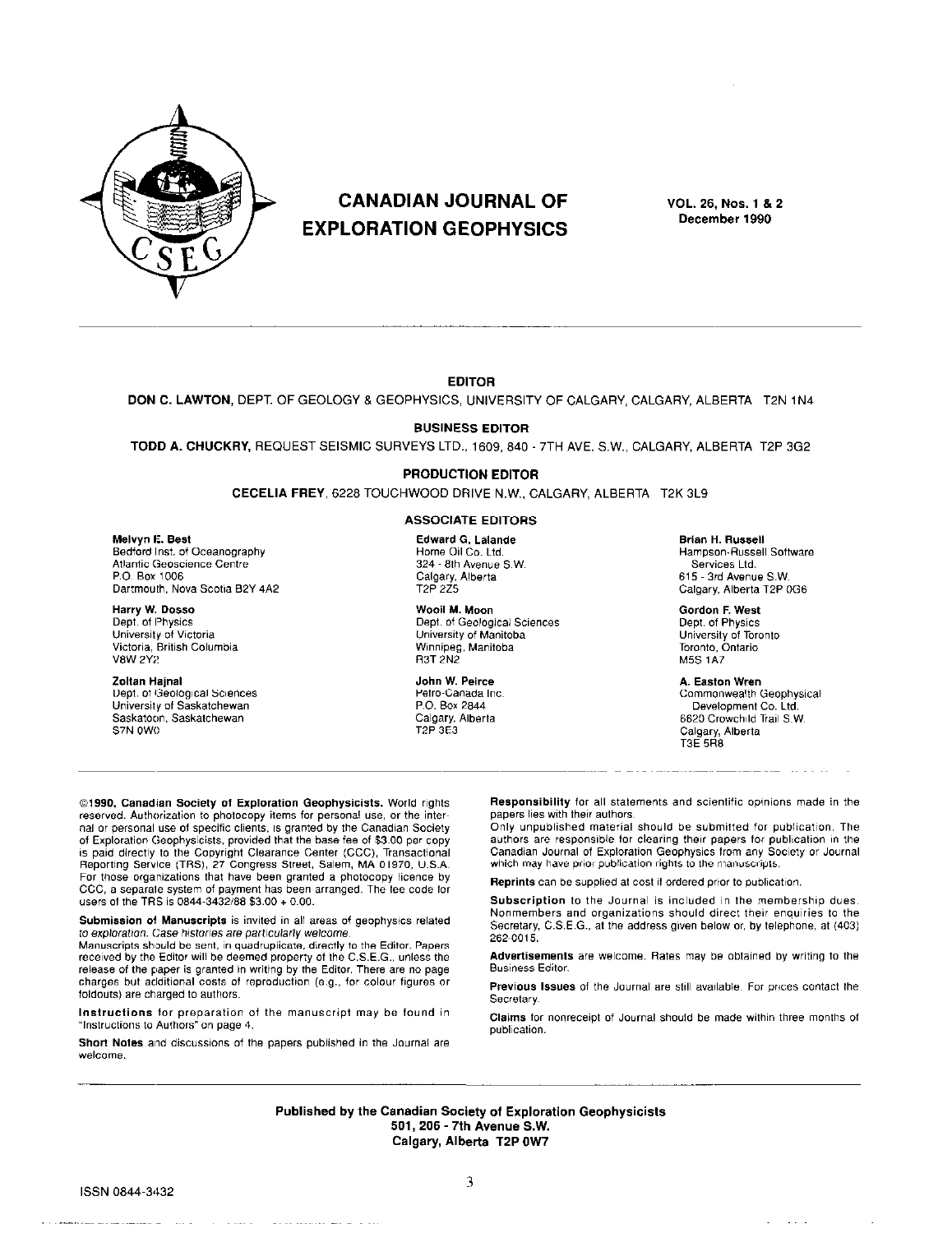

Dartmouth, Nova Scotia B2Y 4A2

### CANADIAN JOURNAL OF EXPLORATION GEOPHYSICS

VOL. 26, Nos. 1 8 2 December 1990

#### EDITOR

DON C. LAWTON, DEPT. OF GEOLOGY & GEOPHYSICS, UNIVERSITY OF CALGARY, CALGARY, ALBERTA T2N 1N4

BUSINESS EDITOR

TODD A. CHUCKRY, REQUEST SEISMIC SURVEYS LTD., 1609, 840 - 7TH AVE. S.W., CALGARY, ALBERTA T2P 3G2

#### PRODUCTION EDITOR

CECELIA FREY, 6228 TOUCHWOOD DRIVE N.W., CALGARY, ALBERTA T2K 3L9

#### ASSOCIATE EDlTORS

Bedford Inst. of Oceanography **Home Oil Co. Ltd. Community** Hampson-Russell Software Hampson-Russell Society of the Society of Hampson-Russell Society of the Society of Services Ltd. Avenue S.W. Services Ltd. Atlantic Geoscience Centre 324 - 8th Avenue S. 324 - 8th Avenue S.W. services Ltd.<br>234 State Calgary, Alberta

Machi M. Moon (Machi M. Moon Gordon F. West (Machi M. Moon Gordon F. West Gordon F. West (Machi M. Moon Gordon F. West (Machi M. Moon Geological Sciences (Machi Mechi Olept. of Physics

n Dept. Of Physics<br>
Dept. of Physics<br>
Dept. of Dhysics Dhiversity of Manitoba Dhiversity of Manitoba Dhiversity of Dhiversity of Toronto University of Manitoba<br>Winnipeg, Manitoba Victoria. W,iSh Col"mbia Winnipeg. Manitoba Toranto, Ontario "8W 2Y2 R3T 2N2 M5S IA7

**Zoltan Hajnal A. Easten Wren**<br>
Dept. of Geological Sciences **A. Easter A. Easter Wren**<br>
Petro-Canada Inc. A. A. A. A. A. A. A. A. Commonwealth ( University of Saskatchewan P.O. Box 2844 Baskatchewan P.O. Box 2844 Calgary, Alberta

Melvyn E. Best **Edward G. Lalande** State of Brian H. Russell Software State Edward G. Lalande State State State S<br>Bedford Inst. of Oceanography State State State Home Oil Co. Ltd. State State State Hampson-Russell Software

P. Box 1006 Calgary, Alberta 615 Calgary, Alberta 5.006 Calgary, Alberta 615-3rd<br>P.006 Calgary, Alberta 612 Calgary, Alberta 612P

Dept. Of lGeoiogical science\* Petro-Canada Inc. COmmOnwealth Geophysical Saskatoon. Saskatchewan Calgary, Alberta 6620 CrowchIld Trail S.W. Calgary, Alberta T3E 5R8

@1990, Canadian Society of Exploration Geophysicists. World rights reserved. Authorization to photocopy items for personal use, or the internal or personal use of specific clients, is granted by the Canadian Society Of Exploration Geophysicists. provided that the base fee Of \$3.00 per copy is paid directly to the Copyright Clearance Center (CCC), Transactional<br>Reporting Service (TRS), 27 Congress Street, Salem, MA 01970, U.S.A. For those organizations that have been granted a photocopy licence by CCC, a separate system of payment has been arranged. The fee code for users of the TRS is 0844-3432/88 \$3.00 + 0.00.

Submission of Manuscripts is invited in all areas of geophysics related to exploration. Case histories are particularly welcome.

Manuscripts should be sent, in quadruplicate, directly to the Editor. Papers received by the Editor will be deemed property of the C.S.E.G., unless the release of the paper is granted in writing by the Editor. There are no page charges but additional costs of reproduction (e.g., for colour figures or foldouts) are charged to authors.

Instructions for preparation of the manuscript may be found in "Instructions to Authors" on page 4.

Short Notes and discussions of the papers published in the Journal are welcome.

and the second contract and the

Responsibility for all statements and scientific opinions made in the papers lies with their authors.

Only unpublished material should be submitted for publication. The authors are responsible for clearing their papers for publication in the Canadian Journal of Exploration Geophysics from any Society or Journal which may have prior publication rights to the manuscripts.

Reprints can be supplied at cost if ordered prior to publication.

Subscription to the Journal is included in the membership dues. Nonmembers and organizations should direct their enquiries to the Secretary, C.S.E.G., at the address given below or, by telephone, at (403). 262-0015.

Advertisements are welcome. Rates may be obtained by writing to the **Business Editor** 

Previous Issues of the Journal are still available. For prices contact the Secretary

Claims for nonreceipt of Journal should be made within three months of publication.

Published by the Canadian Society of Exploration Geophysici 501,206 - 7th Avenue S.W. Calgary, Alberta T2P OW7

 $\sim$   $\sim$   $\sim$ 

and the company of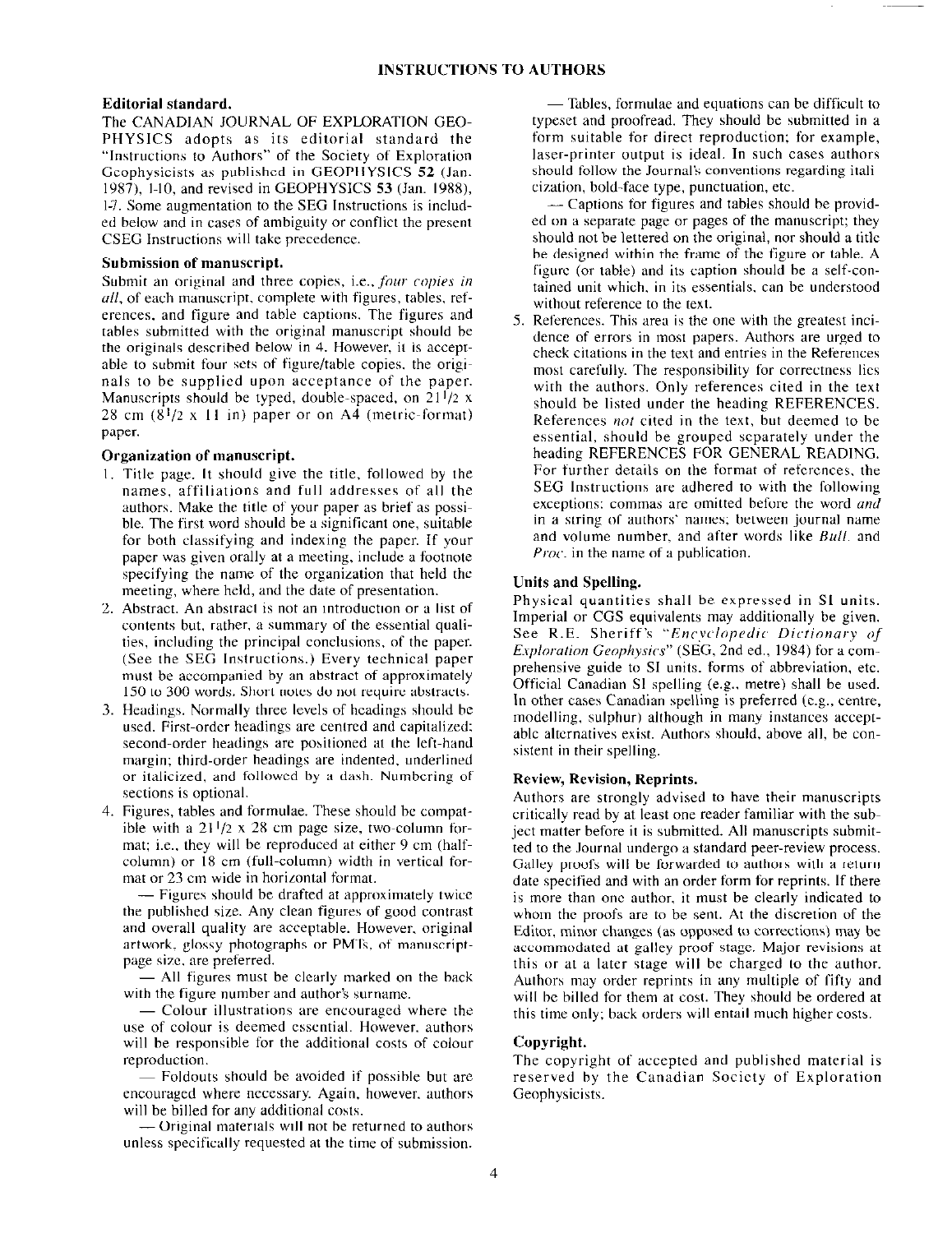#### Editorial standard.

The CANADIAN JOURNAL OF EXPLORATION GEO-PHYSICS adopts as its editorial standard the "Instructions to Authors" of the Society of Exploration Geophysicists as published in GEOPHYSICS 52 (Jan. 19X7), l-10, and revised in GEOPHYSICS 53 (Jan. 198X), I-7. Some augmentation to the SEG Instructions is included below and in cases of ambiguity or conflict the present CSEG Instructions will take precedence.

#### Submission of manuscript.

Submit an original and three copies, i.e., four copies in all, of each manuscript, complete with figures, tables, references, and figure and table captions. The figures and tables submitted with the original manuscript should be the originals described below in 4. However, it is acceptable to submit four sets of figure/table copies. the originals to be supplied upon acceptance of the paper. Manuscripts should be typed, double-spaced, on  $21<sup>1</sup>/2$  x 28 cm  $(8^{1}/2 \times 11)$  in) paper or on A4 (metric-format) paper.

#### Organization of manuscript.

- 1. Title page. It should give the title, followed by the names, affiliations and full addresses of all the authors. Make the title of your paper as brief as possible. The first word should be a significant one, suitable for both classifying and indexing the paper. If your paper was given orally at a meeting, include a footnote specifying the name of the organization that held the meeting, where held, and the date of presentation.
- Abstract. An abstract is not an introduction or a list of contents but, rather. a summary of the essential qualities, including the principal conclusions. of the paper. (See the SEG Instructions.) Every technical paper must be accompanied by an abstract of approximately 150 to 300 words. Short notes do not require abstracts.
- 3. Headings. Normally three levels of headings should be used. First-order headings are centred and capitalized; second-order headings are positioned at the left-hand margin; third-order headings are indented. underlined or italicized, and followed by a dash. Numbering of sections is optional.
- 4. Figures, tables and formulae. These should be compatible with a  $21^{1/2} \times 28$  cm page size, two-column format; i.e., they will be reproduced at either 9 cm (halfcolumn) or 18 cm (full-column) width in vertical format or 23 cm wide in horizontal format.

- Figures should be drafted at approximately twice the published size. Any clean figures of good contrast and overall quality are acceptable. However, original artwork, glossy photographs or PMTs, of manuscriptpage size, are preferred.

- All figures must be clearly marked on the back with the figure number and author's surname.

- Colour illustrations are encouraged where the use of colour is deemed essential. However, authors will he responsible for the additional costs of colour reproduction.

~ Foldouts should be avoided if possible hut are encouraged where necessary. Again, however. authors will be billed for any additional costs.

-Original materials will not be returned to authors unless specifically requested at the time of submission.

 $-$  Tables, formulae and equations can be difficult to typeset and proofread. They should be submitted in a form suitable for direct reproduction; for example, laser-printer output is ideal. In such cases authors should follow the Journal's conventions regarding italicization, bold-face type, punctuation, etc.

- Captions for figures and tables should be provided on a separate page or pages of the manuscript; they should not be lettered on the original, nor should a title he designed within the frame of the figure or table. A figure (or table) and its caption should be a self-contained unit which. in its essentials, can be understood without reference to the text.

5. References. This area is the one with the greatest inc dence of errors in most papers. Authors are urged to check citations in the text and entries in the References most carefully. The responsibility for correctness lies with the authors. Only references cited in the text should be listed under the heading REFERENCES. References *not* cited in the text, but deemed to be essential, should he grouped separately under the heading REFERENCES FOR GENERAL READING. For further details on the format of references, the SEG Instructions are adhered to with the following exceptions: commas are omitted before the word and in a string of authors' names; between journal name and volume number, and after words like Bull. and *Proc.* in the name of a publication.

#### Units and Spelling.

Physical quantities shall be expressed in Sl units. Imperial or CGS equivalents may additionally be given. See R.E. Sheriff's "Encyclopedic Dictionary of Exploration Geophysics" (SEG, 2nd ed., 1984) for a comprehensive guide to SI units. forms of abbreviation. etc. Official Canadian Sl spelling (e.g., metre) shall be used. In other cases Canadian spelling is preferred (e.g., centre, modelling, sulphur) although in many instances acceptable alternatives exist. Authors should, above all, be consistent in their spelling.

#### Review, Revision, Reprints.

Authors are strongly advised to have their manuscripts critically read by at least one reader familiar with the subject matter before it is submitted. All manuscripts submitted to the Journal undergo a standard peer-review process. Galley proofs will be forwarded to authors with a return date specified and with an order form for reprints. If there is more than one author. it must he clearly indicated to whom the proofs are to be sent. At the discretion of the Editor, minor changes (as opposed to corrections) may be accommodated at galley-proof stage. Major revisions at this or at a later stage will be charged to the author. Authors may order reprints in any multiple of fifty and will be billed for them at cost. They should be ordered at this time only; hack orders will entail much higher costs.

#### Copyright.

The copyright of accepted and published material is reserved by the Canadian Society of Exploration Geophysicists.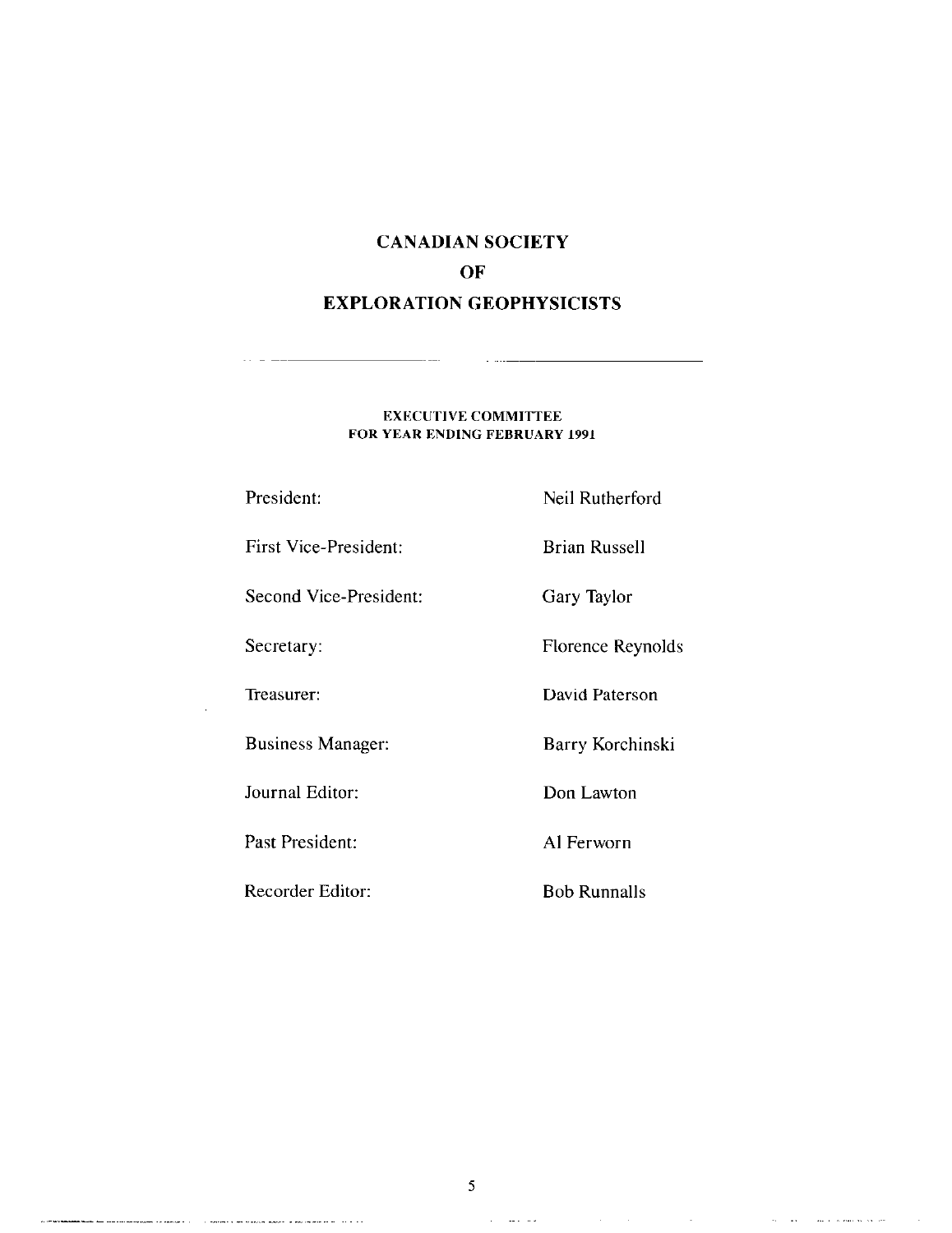### CANADIAN SOCIETY OF EXPLORATION GEOPHYSICISTS

#### EXECUTIVE COMMITTEE FOR YEAR ENDING FEBRUARY 1991

 $\omega$  ,  $\omega$  ,  $\omega$ 

 $\overline{a}$ 

 $\sim$   $-$ 

 $\sim 10$ 

.<br>A production of the company of the company of the company of the context of the company of the company of the company of the company of the company of the company of the company of the company of the company of the compa

| President:               | Neil Rutherford     |
|--------------------------|---------------------|
| First Vice-President:    | Brian Russell       |
| Second Vice-President:   | Gary Taylor         |
| Secretary:               | Florence Reynolds   |
| Treasurer:               | David Paterson      |
| <b>Business Manager:</b> | Barry Korchinski    |
| Journal Editor:          | Don Lawton          |
| Past President:          | Al Ferworn          |
| Recorder Editor:         | <b>Bob Runnalls</b> |

 $\mathcal{A}$  , and an expectation of the set of  $\mathcal{A}$ 

 $\sim 10^{-1}$ 

 $\langle \sigma \bar{u} \rangle$  , and  $\langle \sigma \rangle$  and  $\sigma$  is more as one over

 $\mathcal{A}$